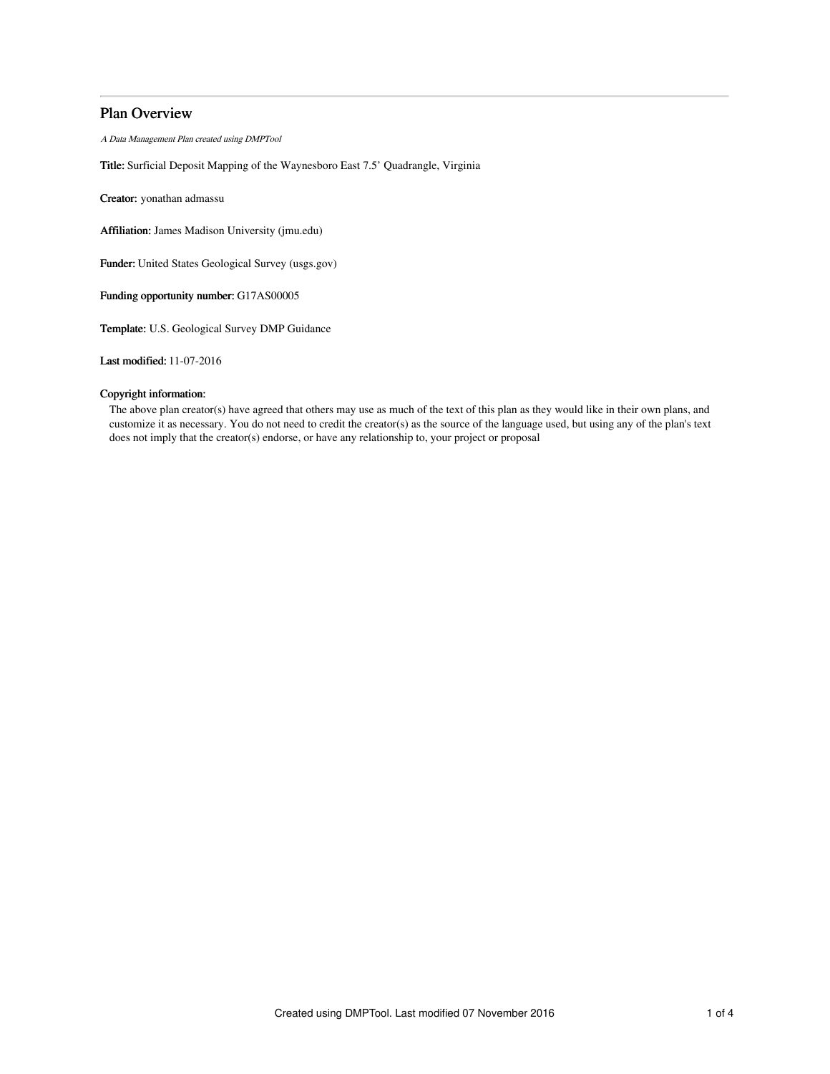## Plan Overview

A Data Management Plan created using DMPTool

Title: Surficial Deposit Mapping of the Waynesboro East 7.5' Quadrangle, Virginia

Creator: yonathan admassu

Affiliation: James Madison University (jmu.edu)

Funder: United States Geological Survey (usgs.gov)

Funding opportunity number: G17AS00005

Template: U.S. Geological Survey DMP Guidance

Last modified: 11-07-2016

## Copyright information:

The above plan creator(s) have agreed that others may use as much of the text of this plan as they would like in their own plans, and customize it as necessary. You do not need to credit the creator(s) as the source of the language used, but using any of the plan's text does not imply that the creator(s) endorse, or have any relationship to, your project or proposal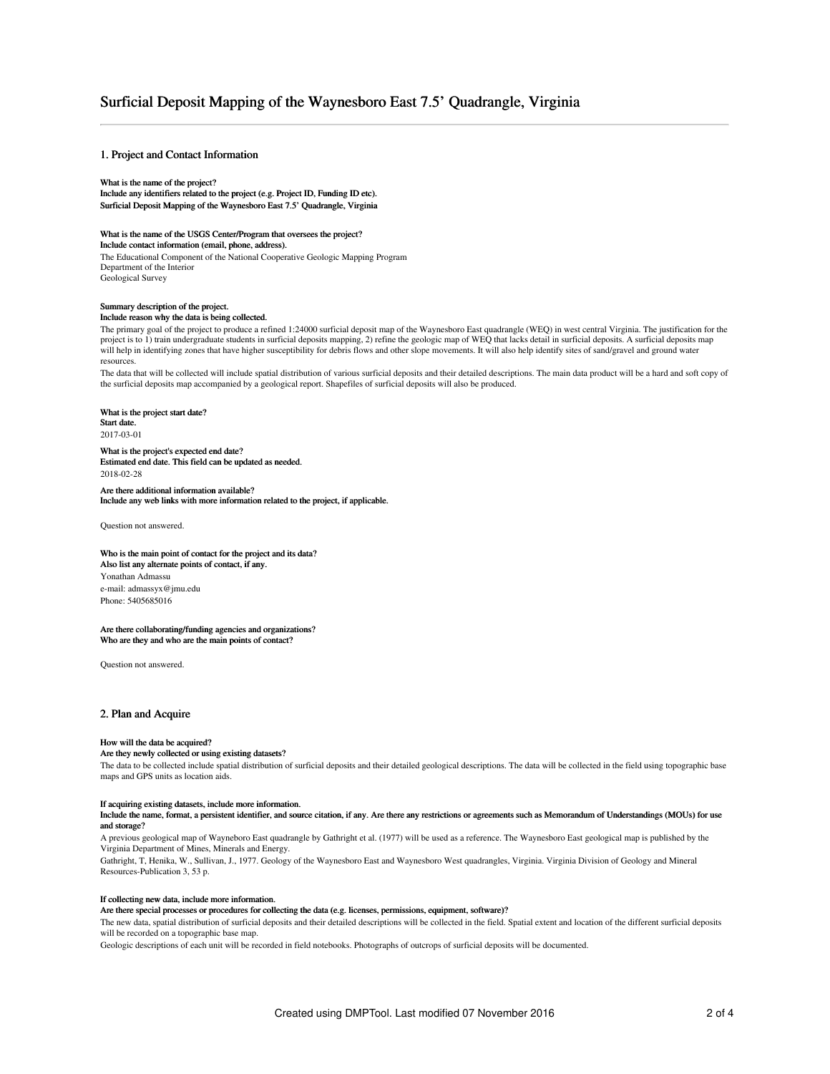## Surficial Deposit Mapping of the Waynesboro East 7.5' Quadrangle, Virginia

## 1. Project and Contact Information

#### What is the name of the project?

Include any identifiers related to the project (e.g. Project ID, Funding ID etc). Surficial Deposit Mapping of the Waynesboro East 7.5' Quadrangle, Virginia

## What is the name of the USGS Center/Program that oversees the project?

Include contact information (email, phone, address).

The Educational Component of the National Cooperative Geologic Mapping Program Department of the Interior Geological Survey

## Summary description of the project.

#### Include reason why the data is being collected.

The primary goal of the project to produce a refined 1:24000 surficial deposit map of the Waynesboro East quadrangle (WEQ) in west central Virginia. The justification for the project is to 1) train undergraduate students in surficial deposits mapping, 2) refine the geologic map of WEQ that lacks detail in surficial deposits. A surficial deposits map will help in identifying zones that have higher susceptibility for debris flows and other slope movements. It will also help identify sites of sand/gravel and ground water resources.

The data that will be collected will include spatial distribution of various surficial deposits and their detailed descriptions. The main data product will be a hard and soft copy of the surficial deposits map accompanied by a geological report. Shapefiles of surficial deposits will also be produced.

## What is the project start date?

Start date. 2017-03-01

#### What is the project's expected end date? Estimated end date. This field can be updated as needed. 2018-02-28

Are there additional information available? Include any web links with more information related to the project, if applicable.

Question not answered.

#### Who is the main point of contact for the project and its data? Also list any alternate points of contact, if any. Yonathan Admassu e-mail: admassyx@jmu.edu Phone: 5405685016

#### Are there collaborating/funding agencies and organizations? Who are they and who are the main points of contact?

Question not answered.

#### 2. Plan and Acquire

#### How will the data be acquired?

#### Are they newly collected or using existing datasets?

The data to be collected include spatial distribution of surficial deposits and their detailed geological descriptions. The data will be collected in the field using topographic base maps and GPS units as location aids.

#### If acquiring existing datasets, include more information.

Include the name, format, a persistent identifier, and source citation, if any. Are there any restrictions or agreements such as Memorandum of Understandings (MOUs) for use and storage?

#### A previous geological map of Wayneboro East quadrangle by Gathright et al. (1977) will be used as a reference. The Waynesboro East geological map is published by the Virginia Department of Mines, Minerals and Energy.

Gathright, T, Henika, W., Sullivan, J., 1977. Geology of the Waynesboro East and Waynesboro West quadrangles, Virginia. Virginia Division of Geology and Mineral Resources-Publication 3, 53 p.

#### If collecting new data, include more information.

#### Are there special processes or procedures for collecting the data (e.g. licenses, permissions, equipment, software)?

The new data, spatial distribution of surficial deposits and their detailed descriptions will be collected in the field. Spatial extent and location of the different surficial deposits will be recorded on a topographic base map.

Geologic descriptions of each unit will be recorded in field notebooks. Photographs of outcrops of surficial deposits will be documented.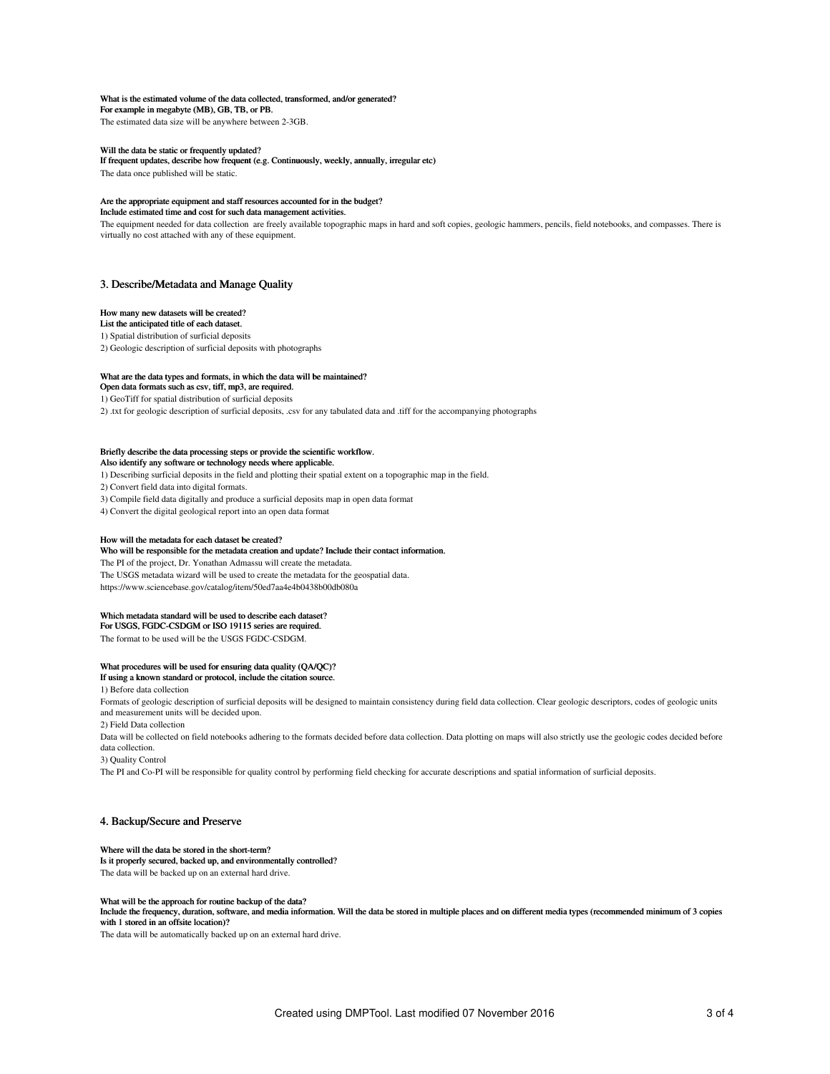#### What is the estimated volume of the data collected, transformed, and/or generated?

For example in megabyte (MB), GB, TB, or PB. The estimated data size will be anywhere between 2-3GB.

#### Will the data be static or frequently updated?

If frequent updates, describe how frequent (e.g. Continuously, weekly, annually, irregular etc) The data once published will be static.

### Are the appropriate equipment and staff resources accounted for in the budget?

Include estimated time and cost for such data management activities.

The equipment needed for data collection are freely available topographic maps in hard and soft copies, geologic hammers, pencils, field notebooks, and compasses. There is virtually no cost attached with any of these equipment.

### 3. Describe/Metadata and Manage Quality

## How many new datasets will be created?

List the anticipated title of each dataset. 1) Spatial distribution of surficial deposits 2) Geologic description of surficial deposits with photographs

#### What are the data types and formats, in which the data will be maintained?

Open data formats such as csv, tiff, mp3, are required.

1) GeoTiff for spatial distribution of surficial deposits

2) .txt for geologic description of surficial deposits, .csv for any tabulated data and .tiff for the accompanying photographs

#### Briefly describe the data processing steps or provide the scientific workflow. Also identify any software or technology needs where applicable.

1) Describing surficial deposits in the field and plotting their spatial extent on a topographic map in the field.

2) Convert field data into digital formats.

3) Compile field data digitally and produce a surficial deposits map in open data format

4) Convert the digital geological report into an open data format

#### How will the metadata for each dataset be created?

Who will be responsible for the metadata creation and update? Include their contact information. The PI of the project, Dr. Yonathan Admassu will create the metadata. The USGS metadata wizard will be used to create the metadata for the geospatial data. https://www.sciencebase.gov/catalog/item/50ed7aa4e4b0438b00db080a

#### Which metadata standard will be used to describe each dataset?

For USGS, FGDC-CSDGM or ISO 19115 series are required. The format to be used will be the USGS FGDC-CSDGM.

# What procedures will be used for ensuring data quality (QA/QC)? If using a known standard or protocol, include the citation source.

1) Before data collection

Formats of geologic description of surficial deposits will be designed to maintain consistency during field data collection. Clear geologic descriptors, codes of geologic units and measurement units will be decided upon.

#### 2) Field Data collection

Data will be collected on field notebooks adhering to the formats decided before data collection. Data plotting on maps will also strictly use the geologic codes decided before data collection.

3) Quality Control

The PI and Co-PI will be responsible for quality control by performing field checking for accurate descriptions and spatial information of surficial deposits.

### 4. Backup/Secure and Preserve

#### Where will the data be stored in the short-term?

Is it properly secured, backed up, and environmentally controlled?

The data will be backed up on an external hard drive.

## What will be the approach for routine backup of the data?

Include the frequency, duration, software, and media information. Will the data be stored in multiple places and on different media types (recommended minimum of 3 copies with 1 stored in an offsite location)?

The data will be automatically backed up on an external hard drive.